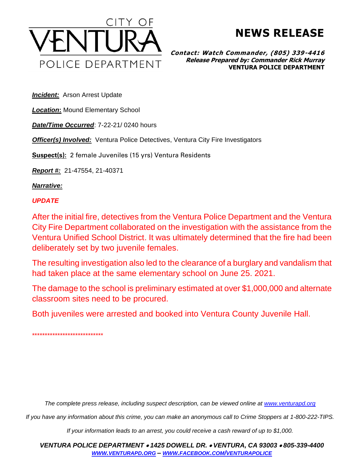

## **NEWS RELEASE**

**Contact: Watch Commander, (805) 339-4416 Release Prepared by: Commander Rick Murray VENTURA POLICE DEPARTMENT**

**Incident:** Arson Arrest Update

*Location***:** Mound Elementary School

*Date/Time Occurred*: 7-22-21/ 0240 hours

*Officer(s) Involved:* Ventura Police Detectives, Ventura City Fire Investigators

**Suspect(s):** 2 female Juveniles (15 yrs) Ventura Residents

*Report #:* 21-47554, 21-40371

*Narrative:* 

## *UPDATE*

After the initial fire, detectives from the Ventura Police Department and the Ventura City Fire Department collaborated on the investigation with the assistance from the Ventura Unified School District. It was ultimately determined that the fire had been deliberately set by two juvenile females.

The resulting investigation also led to the clearance of a burglary and vandalism that had taken place at the same elementary school on June 25. 2021.

The damage to the school is preliminary estimated at over \$1,000,000 and alternate classroom sites need to be procured.

Both juveniles were arrested and booked into Ventura County Juvenile Hall.

\*\*\*\*\*\*\*\*\*\*\*\*\*\*\*\*\*\*\*\*\*\*\*\*\*\*\*\*

*The complete press release, including suspect description, can be viewed online at [www.venturapd.org](http://www.venturapd.org/)*

*If you have any information about this crime, you can make an anonymous call to Crime Stoppers at 1-800-222-TIPS.*

*If your information leads to an arrest, you could receive a cash reward of up to \$1,000.*